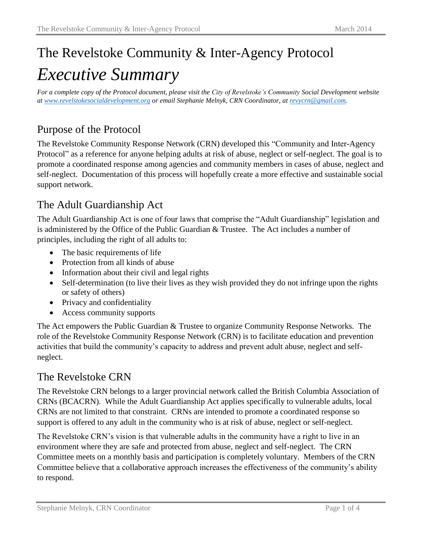# The Revelstoke Community & Inter-Agency Protocol *Executive Summary*

*For a complete copy of the Protocol document, please visit the City of Revelstoke's Community Social Development website at [www.revelstokesocialdevelopment.org](http://www.revelstokesocialdevelopment.org/) or email Stephanie Melnyk, CRN Coordinator, at [revycrn@gmail.com.](mailto:revycrn@gmail.com)*

# Purpose of the Protocol

The Revelstoke Community Response Network (CRN) developed this "Community and Inter-Agency Protocol" as a reference for anyone helping adults at risk of abuse, neglect or self-neglect. The goal is to promote a coordinated response among agencies and community members in cases of abuse, neglect and self-neglect. Documentation of this process will hopefully create a more effective and sustainable social support network.

#### The Adult Guardianship Act

The Adult Guardianship Act is one of four laws that comprise the "Adult Guardianship" legislation and is administered by the Office of the Public Guardian & Trustee. The Act includes a number of principles, including the right of all adults to:

- The basic requirements of life
- Protection from all kinds of abuse
- Information about their civil and legal rights
- Self-determination (to live their lives as they wish provided they do not infringe upon the rights or safety of others)
- Privacy and confidentiality
- Access community supports

The Act empowers the Public Guardian & Trustee to organize Community Response Networks. The role of the Revelstoke Community Response Network (CRN) is to facilitate education and prevention activities that build the community's capacity to address and prevent adult abuse, neglect and selfneglect.

#### The Revelstoke CRN

The Revelstoke CRN belongs to a larger provincial network called the British Columbia Association of CRNs (BCACRN). While the Adult Guardianship Act applies specifically to vulnerable adults, local CRNs are not limited to that constraint. CRNs are intended to promote a coordinated response so support is offered to any adult in the community who is at risk of abuse, neglect or self-neglect.

The Revelstoke CRN's vision is that vulnerable adults in the community have a right to live in an environment where they are safe and protected from abuse, neglect and self-neglect. The CRN Committee meets on a monthly basis and participation is completely voluntary. Members of the CRN Committee believe that a collaborative approach increases the effectiveness of the community's ability to respond.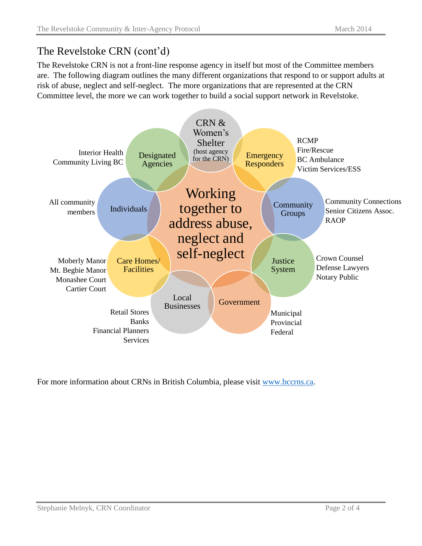## The Revelstoke CRN (cont'd)

The Revelstoke CRN is not a front-line response agency in itself but most of the Committee members are. The following diagram outlines the many different organizations that respond to or support adults at risk of abuse, neglect and self-neglect. The more organizations that are represented at the CRN Committee level, the more we can work together to build a social support network in Revelstoke.



For more information about CRNs in British Columbia, please visit [www.bccrns.ca.](http://www.bccrns.ca/)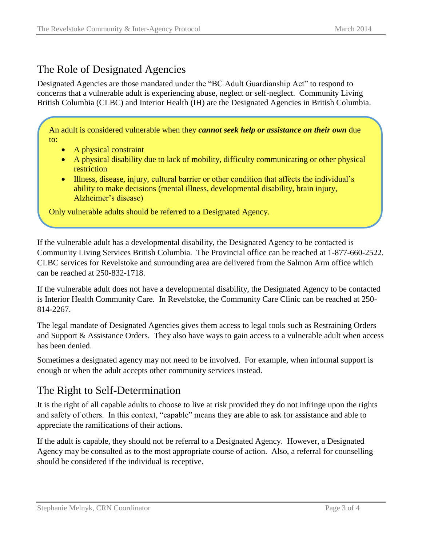### The Role of Designated Agencies

Designated Agencies are those mandated under the "BC Adult Guardianship Act" to respond to concerns that a vulnerable adult is experiencing abuse, neglect or self-neglect. Community Living British Columbia (CLBC) and Interior Health (IH) are the Designated Agencies in British Columbia.

An adult is considered vulnerable when they *cannot seek help or assistance on their own* due to:

- A physical constraint
- A physical disability due to lack of mobility, difficulty communicating or other physical restriction
- Illness, disease, injury, cultural barrier or other condition that affects the individual's ability to make decisions (mental illness, developmental disability, brain injury, Alzheimer's disease)

Only vulnerable adults should be referred to a Designated Agency.

If the vulnerable adult has a developmental disability, the Designated Agency to be contacted is Community Living Services British Columbia. The Provincial office can be reached at 1-877-660-2522. CLBC services for Revelstoke and surrounding area are delivered from the Salmon Arm office which can be reached at 250-832-1718.

If the vulnerable adult does not have a developmental disability, the Designated Agency to be contacted is Interior Health Community Care. In Revelstoke, the Community Care Clinic can be reached at 250- 814-2267.

The legal mandate of Designated Agencies gives them access to legal tools such as Restraining Orders and Support & Assistance Orders. They also have ways to gain access to a vulnerable adult when access has been denied.

Sometimes a designated agency may not need to be involved. For example, when informal support is enough or when the adult accepts other community services instead.

#### The Right to Self-Determination

It is the right of all capable adults to choose to live at risk provided they do not infringe upon the rights and safety of others. In this context, "capable" means they are able to ask for assistance and able to appreciate the ramifications of their actions.

If the adult is capable, they should not be referral to a Designated Agency. However, a Designated Agency may be consulted as to the most appropriate course of action. Also, a referral for counselling should be considered if the individual is receptive.